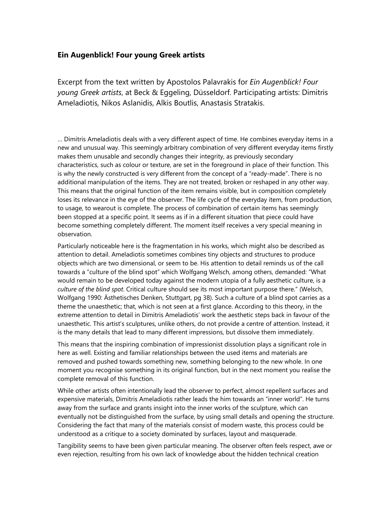## **Ein Augenblick! Four young Greek artists**

Excerpt from the text written by Apostolos Palavrakis for *Ein Augenblick! Four young Greek artists*, at Beck & Eggeling, Düsseldorf. Participating artists: Dimitris Ameladiotis, Nikos Aslanidis, Alkis Boutlis, Anastasis Stratakis.

… Dimitris Ameladiotis deals with a very different aspect of time. He combines everyday items in a new and unusual way. This seemingly arbitrary combination of very different everyday items firstly makes them unusable and secondly changes their integrity, as previously secondary characteristics, such as colour or texture, are set in the foreground in place of their function. This is why the newly constructed is very different from the concept of a "ready-made". There is no additional manipulation of the items. They are not treated, broken or reshaped in any other way. This means that the original function of the item remains visible, but in composition completely loses its relevance in the eye of the observer. The life cycle of the everyday item, from production, to usage, to wearout is complete. The process of combination of certain items has seemingly been stopped at a specific point. It seems as if in a different situation that piece could have become something completely different. The moment itself receives a very special meaning in observation.

Particularly noticeable here is the fragmentation in his works, which might also be described as attention to detail. Ameladiotis sometimes combines tiny objects and structures to produce objects which are two dimensional, or seem to be. His attention to detail reminds us of the call towards a "culture of the blind spot" which Wolfgang Welsch, among others, demanded: "What would remain to be developed today against the modern utopia of a fully aesthetic culture, is a *culture of the blind spot*. Critical culture should see its most important purpose there." (Welsch, Wolfgang 1990: Ästhetisches Denken, Stuttgart, pg 38). Such a culture of a blind spot carries as a theme the unaesthetic; that, which is not seen at a first glance. According to this theory, in the extreme attention to detail in Dimitris Ameladiotis' work the aesthetic steps back in favour of the unaesthetic. This artist's sculptures, unlike others, do not provide a centre of attention. Instead, it is the many details that lead to many different impressions, but dissolve them immediately.

This means that the inspiring combination of impressionist dissolution plays a significant role in here as well. Existing and familiar relationships between the used items and materials are removed and pushed towards something new, something belonging to the new whole. In one moment you recognise something in its original function, but in the next moment you realise the complete removal of this function.

While other artists often intentionally lead the observer to perfect, almost repellent surfaces and expensive materials, Dimitris Ameladiotis rather leads the him towards an "inner world". He turns away from the surface and grants insight into the inner works of the sculpture, which can eventually not be distinguished from the surface, by using small details and opening the structure. Considering the fact that many of the materials consist of modern waste, this process could be understood as a critique to a society dominated by surfaces, layout and masquerade.

Tangibility seems to have been given particular meaning. The observer often feels respect, awe or even rejection, resulting from his own lack of knowledge about the hidden technical creation